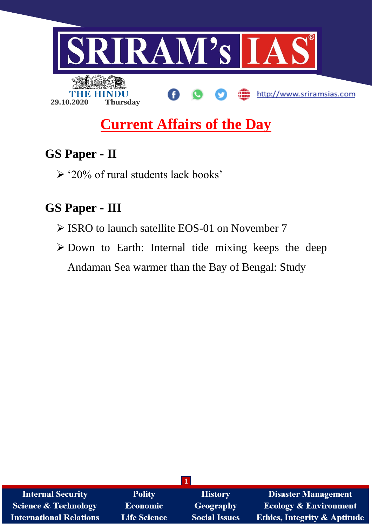

# **Current Affairs of the Day**

## **GS Paper - II**

 $\geq$  '20% of rural students lack books'

## **GS Paper - III**

- ISRO to launch satellite EOS-01 on November 7
- $\triangleright$  Down to Earth: Internal tide mixing keeps the deep Andaman Sea warmer than the Bay of Bengal: Study

| <b>Internal Security</b>        | <b>Polity</b>       | <b>History</b>       | <b>Disaster Management</b>              |
|---------------------------------|---------------------|----------------------|-----------------------------------------|
| <b>Science &amp; Technology</b> | <b>Economic</b>     | Geography            | <b>Ecology &amp; Environment</b>        |
| <b>International Relations</b>  | <b>Life Science</b> | <b>Social Issues</b> | <b>Ethics, Integrity &amp; Aptitude</b> |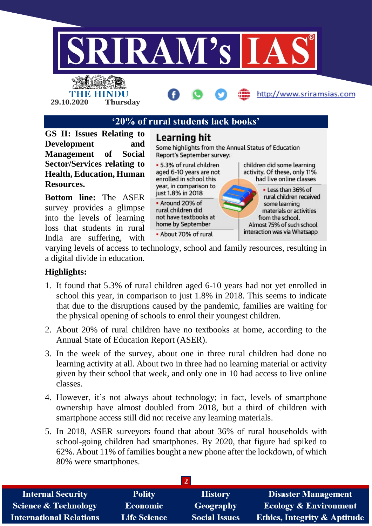

**'20% of rural students lack books'**

**GS II: Issues Relating to Development and Management of Social Sector/Services relating to Health, Education, Human Resources.**

**29.10.2020 Thursday**

**Bottom line:** The ASER survey provides a glimpse into the levels of learning loss that students in rural India are suffering, with

## Learning hit

Some highlights from the Annual Status of Education Report's September survey:

• 5.3% of rural children aged 6-10 years are not enrolled in school this year, in comparison to just 1.8% in 2018 • Around 20% of rural children did

not have textbooks at home by September

• About 70% of rural

children did some learning activity. Of these, only 11% had live online classes

. Less than 36% of rural children received some learning materials or activities from the school. Almost 75% of such school interaction was via Whatsapp

varying levels of access to technology, school and family resources, resulting in a digital divide in education.

## **Highlights:**

- 1. It found that 5.3% of rural children aged 6-10 years had not yet enrolled in school this year, in comparison to just 1.8% in 2018. This seems to indicate that due to the disruptions caused by the pandemic, families are waiting for the physical opening of schools to enrol their youngest children.
- 2. About 20% of rural children have no textbooks at home, according to the Annual State of Education Report (ASER).
- 3. In the week of the survey, about one in three rural children had done no learning activity at all. About two in three had no learning material or activity given by their school that week, and only one in 10 had access to live online classes.
- 4. However, it's not always about technology; in fact, levels of smartphone ownership have almost doubled from 2018, but a third of children with smartphone access still did not receive any learning materials.
- 5. In 2018, ASER surveyors found that about 36% of rural households with school-going children had smartphones. By 2020, that figure had spiked to 62%. About 11% of families bought a new phone after the lockdown, of which 80% were smartphones.

| <b>Internal Security</b>        | <b>Polity</b>       | <b>History</b>       | <b>Disaster Management</b>              |
|---------------------------------|---------------------|----------------------|-----------------------------------------|
| <b>Science &amp; Technology</b> | <b>Economic</b>     | Geography            | <b>Ecology &amp; Environment</b>        |
| <b>International Relations</b>  | <b>Life Science</b> | <b>Social Issues</b> | <b>Ethics, Integrity &amp; Aptitude</b> |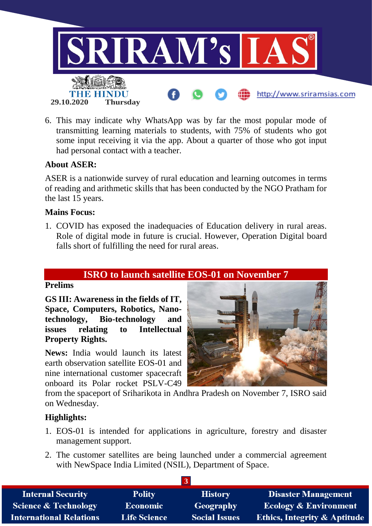

6. This may indicate why WhatsApp was by far the most popular mode of transmitting learning materials to students, with 75% of students who got some input receiving it via the app. About a quarter of those who got input had personal contact with a teacher.

## **About ASER:**

ASER is a nationwide survey of rural education and learning outcomes in terms of reading and arithmetic skills that has been conducted by the NGO Pratham for the last 15 years.

#### **Mains Focus:**

1. COVID has exposed the inadequacies of Education delivery in rural areas. Role of digital mode in future is crucial. However, Operation Digital board falls short of fulfilling the need for rural areas.

## **ISRO to launch satellite EOS-01 on November 7**

#### **Prelims**

**GS III: Awareness in the fields of IT, Space, Computers, Robotics, Nanotechnology, Bio-technology and issues relating to Intellectual Property Rights.**

**News:** India would launch its latest earth observation satellite EOS-01 and nine international customer spacecraft onboard its Polar rocket PSLV-C49



from the spaceport of Sriharikota in Andhra Pradesh on November 7, ISRO said on Wednesday.

## **Highlights:**

- 1. EOS-01 is intended for applications in agriculture, forestry and disaster management support.
- 2. The customer satellites are being launched under a commercial agreement with NewSpace India Limited (NSIL), Department of Space.

| <b>Internal Security</b>        | <b>Polity</b>       | <b>History</b>       | <b>Disaster Management</b>              |
|---------------------------------|---------------------|----------------------|-----------------------------------------|
| <b>Science &amp; Technology</b> | <b>Economic</b>     | Geography            | <b>Ecology &amp; Environment</b>        |
| <b>International Relations</b>  | <b>Life Science</b> | <b>Social Issues</b> | <b>Ethics, Integrity &amp; Aptitude</b> |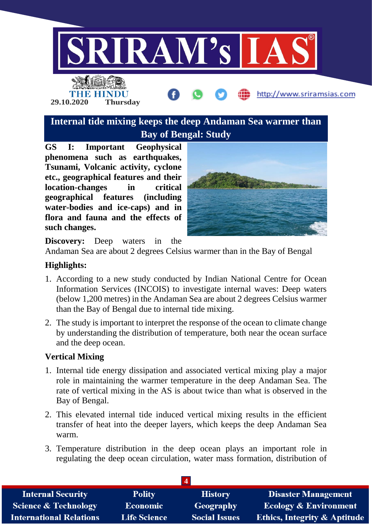

**Internal tide mixing keeps the deep Andaman Sea warmer than Bay of Bengal: Study**

**GS I: Important Geophysical phenomena such as earthquakes, Tsunami, Volcanic activity, cyclone etc., geographical features and their location-changes in critical geographical features (including water-bodies and ice-caps) and in flora and fauna and the effects of such changes.**

**29.10.2020 Thursday**



http://www.sriramsias.com

**Discovery:** Deep waters in the

Andaman Sea are about 2 degrees Celsius warmer than in the Bay of Bengal

## **Highlights:**

- 1. According to a new study conducted by Indian National Centre for Ocean Information Services (INCOIS) to investigate internal waves: Deep waters (below 1,200 metres) in the Andaman Sea are about 2 degrees Celsius warmer than the Bay of Bengal due to internal tide mixing.
- 2. The study is important to interpret the response of the ocean to climate change by understanding the distribution of temperature, both near the ocean surface and the deep ocean.

## **Vertical Mixing**

- 1. Internal tide energy dissipation and associated vertical mixing play a major role in maintaining the warmer temperature in the deep Andaman Sea. The rate of vertical mixing in the AS is about twice than what is observed in the Bay of Bengal.
- 2. This elevated internal tide induced vertical mixing results in the efficient transfer of heat into the deeper layers, which keeps the deep Andaman Sea warm.
- 3. Temperature distribution in the deep ocean plays an important role in regulating the deep ocean circulation, water mass formation, distribution of

| <b>Internal Security</b>        | <b>Polity</b>       | <b>History</b>       | <b>Disaster Management</b>              |
|---------------------------------|---------------------|----------------------|-----------------------------------------|
| <b>Science &amp; Technology</b> | <b>Economic</b>     | Geography            | <b>Ecology &amp; Environment</b>        |
| <b>International Relations</b>  | <b>Life Science</b> | <b>Social Issues</b> | <b>Ethics, Integrity &amp; Aptitude</b> |